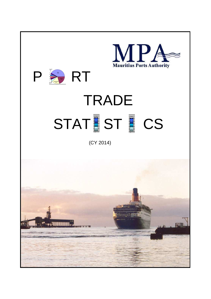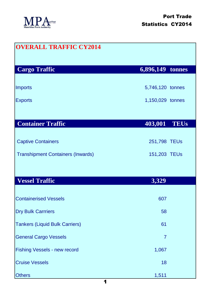

| <b>OVERALL TRAFFIC CY2014</b>            |                  |
|------------------------------------------|------------------|
| <b>Cargo Traffic</b>                     | 6,896,149 tonnes |
| <b>Imports</b>                           | 5,746,120 tonnes |
| <b>Exports</b>                           | 1,150,029 tonnes |
| <b>Container Traffic</b>                 | 403,001 TEUs     |
| <b>Captive Containers</b>                | 251,798 TEUs     |
| <b>Transhipment Containers (Inwards)</b> | 151,203 TEUs     |
|                                          |                  |
| <b>Vessel Traffic</b>                    | 3,329            |
| <b>Containerised Vessels</b>             | 607              |
| <b>Dry Bulk Carrriers</b>                | 58               |
| <b>Tankers (Liquid Bulk Carriers)</b>    | 61               |
| <b>General Cargo Vessels</b>             | $\overline{7}$   |
| <b>Fishing Vessels - new record</b>      | 1,067            |
| <b>Cruise Vessels</b>                    | 18               |
| <b>Others</b>                            | 1,511            |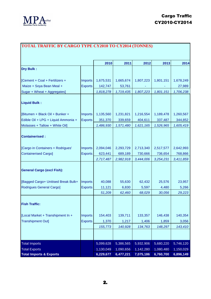

| TOTAL TRAFFIC BY CARGO TYPE CY2010 TO CY2014 (TONNES) |                |           |           |           |           |           |  |
|-------------------------------------------------------|----------------|-----------|-----------|-----------|-----------|-----------|--|
|                                                       |                | 2010      | 2011      | 2012      | 2013      | 2014      |  |
| Dry Bulk:                                             |                |           |           |           |           |           |  |
|                                                       |                |           |           |           |           |           |  |
| [Cement + Coal + Fertilizers +                        | <b>Imports</b> | 1,675,531 | 1,665,674 | 1,807,223 | 1,801,151 | 1,678,249 |  |
| Maize + Soya Bean Meal +                              | <b>Exports</b> | 142,747   | 53,761    |           |           | 27,989    |  |
| Sugar + Wheat + Aggregates]                           |                | 1,818,278 | 1,719,435 | 1,807,223 | 1,801,151 | 1,706,238 |  |
| <b>Liquid Bulk:</b>                                   |                |           |           |           |           |           |  |
| [Bitumen + Black Oil + Bunker +                       | <b>Imports</b> | 1,135,560 | 1,231,821 | 1,216,554 | 1,189,478 | 1,260,567 |  |
| Edible Oil + LPG + Liquid Ammonia +                   | <b>Exports</b> | 351,370   | 339,659   | 404,611   | 337,487   | 344,852   |  |
| Molasses + Tallow + White Oil]                        |                | 1,486,930 | 1,571,480 | 1,621,165 | 1,526,965 | 1,605,419 |  |
| <b>Containerised:</b>                                 |                |           |           |           |           |           |  |
| [Cargo in Containers + Rodrigues'                     | <b>Imports</b> | 2,094,046 | 2,293,729 | 2,713,340 | 2,517,577 | 2,642,993 |  |
| <b>Containerised Cargo]</b>                           | <b>Exports</b> | 623,441   | 689,189   | 730,666   | 736,654   | 768,866   |  |
|                                                       |                | 2,717,487 | 2,982,918 | 3,444,006 | 3,254,231 | 3,411,859 |  |
| <b>General Cargo (excl Fish):</b>                     |                |           |           |           |           |           |  |
| [Bagged Cargo+ Unitised Break Bulk+                   | <b>Imports</b> | 40,088    | 55,630    | 62,432    | 25,576    | 23,957    |  |
| <b>Rodrigues General Cargo]</b>                       | <b>Exports</b> | 11,121    | 6,830     | 5,597     | 4,480     | 5,266     |  |
|                                                       |                | 51,209    | 62,460    | 68,029    | 30,056    | 29,223    |  |
| <b>Fish Traffic:</b>                                  |                |           |           |           |           |           |  |
| [Local Market + Transhipment In +                     | <b>Imports</b> | 154,403   | 139,711   | 133,357   | 146,438   | 140,354   |  |
| <b>Transhipment Out]</b>                              | <b>Exports</b> | 1,370     | 1,217     | 1,406     | 1,859     | 3,056     |  |
|                                                       |                | 155,773   | 140,928   | 134,763   | 148,297   | 143,410   |  |
|                                                       |                |           |           |           |           |           |  |
| <b>Total Imports</b>                                  |                | 5,099,628 | 5,386,565 | 5,932,906 | 5,680,220 | 5,746,120 |  |
| <b>Total Exports</b>                                  |                | 1,130,049 | 1,090,656 | 1,142,280 | 1,080,480 | 1,150,029 |  |
| <b>Total Imports &amp; Exports</b>                    |                | 6,229,677 | 6,477,221 | 7,075,186 | 6,760,700 | 6,896,149 |  |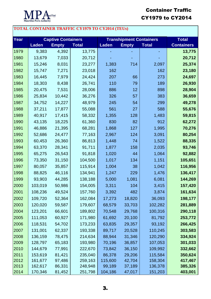

## Container Traffic CY1979 to CY2014

## **TOTAL CONTAINER TRAFFIC CY1979 TO CY2014 (TEUs)**

| <b>Year</b> |              | <b>Captive Containers</b> |              | <b>Transhipment Containers</b> | <b>Total</b> |              |                   |
|-------------|--------------|---------------------------|--------------|--------------------------------|--------------|--------------|-------------------|
|             | <b>Laden</b> | <b>Empty</b>              | <b>Total</b> | <b>Laden</b>                   | <b>Empty</b> | <b>Total</b> | <b>Containers</b> |
| 1979        | 9,383        | 4,392                     | 13,775       |                                |              |              | 13,775            |
| 1980        | 13,679       | 7,033                     | 20,712       |                                |              |              | 20,712            |
| 1981        | 15,246       | 8,031                     | 23,277       | 1,383                          | 714          | 2,097        | 25,374            |
| 1982        | 15,747       | 7,271                     | 23,018       | 162                            |              | 162          | 23,180            |
| 1983        | 16,445       | 7,979                     | 24,424       | 207                            | 66           | 273          | 24,697            |
| 1984        | 18,303       | 8,438                     | 26,741       | 110                            | 79           | 189          | 26,930            |
| 1985        | 20,475       | 7,531                     | 28,006       | 886                            | 12           | 898          | 28,904            |
| 1986        | 25,834       | 10,442                    | 36,276       | 326                            | 57           | 383          | 36,659            |
| 1987        | 34,752       | 14,227                    | 48,979       | 245                            | 54           | 299          | 49,278            |
| 1988        | 37,211       | 17,877                    | 55,088       | 561                            | 27           | 588          | 55,676            |
| 1989        | 40,917       | 17,415                    | 58,332       | 1,355                          | 128          | 1,483        | 59,815            |
| 1990        | 43,135       | 18,225                    | 61,360       | 830                            | 82           | 912          | 62,272            |
| 1991        | 46,886       | 21,395                    | 68,281       | 1,868                          | 127          | 1,995        | 70,276            |
| 1992        | 52,686       | 24,477                    | 77,163       | 2,967                          | 124          | 3,091        | 80,254            |
| 1993        | 60,453       | 26,360                    | 86,813       | 1,448                          | 74           | 1,522        | 88,335            |
| 1994        | 63,370       | 28,341                    | 91,711       | 1,877                          | 158          | 2,035        | 93,746            |
| 1995        | 65,275       | 26,543                    | 91,818       | 1,020                          | 44           | 1,064        | 92,882            |
| 1996        | 73,350       | 31,150                    | 104,500      | 1,017                          | 134          | 1,151        | 105,651           |
| 1997        | 80,057       | 35,857                    | 115,914      | 1,004                          | 38           | 1,042        | 116,956           |
| 1998        | 88,825       | 46,116                    | 134,941      | 1,247                          | 229          | 1,476        | 136,417           |
| 1999        | 93,903       | 44,285                    | 138,188      | 5,000                          | 1,081        | 6,081        | 144,269           |
| 2000        | 103,019      | 50,986                    | 154,005      | 3,311                          | 104          | 3,415        | 157,420           |
| 2001        | 108,236      | 49,524                    | 157,760      | 3,392                          | 482          | 3,874        | 161,634           |
| 2002        | 109,720      | 52,364                    | 162,084      | 17,273                         | 18,820       | 36,093       | 198,177           |
| 2003        | 120,020      | 59,587                    | 179,607      | 68,579                         | 33,703       | 102,282      | 281,889           |
| 2004        | 123,201      | 66,601                    | 189,802      | 70,548                         | 29,768       | 100,316      | 290,118           |
| 2005        | 111,053      | 60,927                    | 171,980      | 61,692                         | 20,100       | 81,792       | 253,772           |
| 2006        | 118,531      | 54,702                    | 173,233      | 63,835                         | 29,357       | 93,192       | 266,425           |
| 2007        | 131,001      | 62,337                    | 193,338      | 89,717                         | 20,528       | 110,245      | 303,583           |
| 2008        | 136,159      | 78,475                    | 214,634      | 88,944                         | 31,346       | 120,290      | 334,924           |
| 2009        | 128,797      | 65,183                    | 193,980      | 70,196                         | 36,857       | 107,053      | 301,033           |
| 2010        | 144,679      | 77,991                    | 222,670      | 73,842                         | 36,150       | 109,992      | 332,662           |
| 2011        | 153,619      | 81,421                    | 235,040      | 86,378                         | 29,206       | 115,584      | 350,624           |
| 2012        | 161,677      | 97,486                    | 259,163      | 115,600                        | 42,704       | 158,304      | 417,467           |
| 2013        | 162,617      | 86,331                    | 248,948      | 99,189                         | 37,189       | 136,378      | 385,326           |
| 2014        | 170,346      | 81,452                    | 251,798      | 104,186                        | 47,017       | 151,203      | 403,001           |